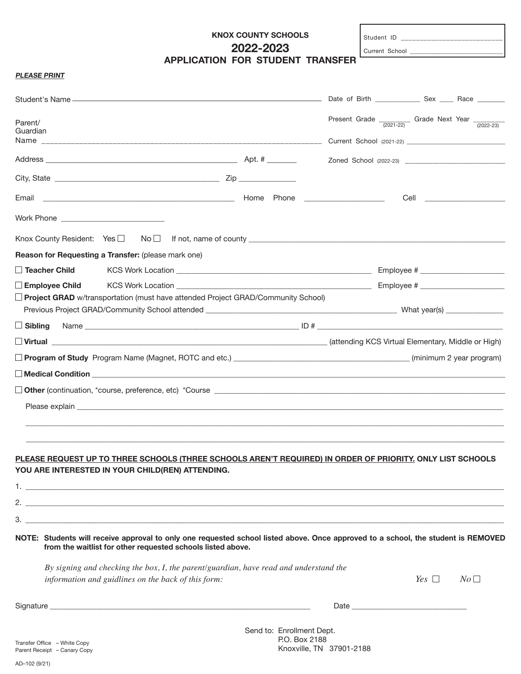# **KNOX COUNTY SCHOOLS 2022-2023 APPLICATION FOR STUDENT TRANSFER**

Student ID  $_{-}$ 

Current School \_

# **PLEASE PRINT**

| Parent/<br>Guardian                                                                                                                                                                                                            | Present Grade $\frac{1}{(2021-22)}$ Grade Next Year $\frac{1}{(2022-23)}$ |
|--------------------------------------------------------------------------------------------------------------------------------------------------------------------------------------------------------------------------------|---------------------------------------------------------------------------|
|                                                                                                                                                                                                                                |                                                                           |
|                                                                                                                                                                                                                                |                                                                           |
|                                                                                                                                                                                                                                |                                                                           |
| Work Phone _____________________________                                                                                                                                                                                       |                                                                           |
| Knox County Resident: $Yes \Box \qquad No \Box$ If not, name of county $\Box$                                                                                                                                                  |                                                                           |
| Reason for Requesting a Transfer: (please mark one)                                                                                                                                                                            |                                                                           |
| $\Box$ Teacher Child                                                                                                                                                                                                           |                                                                           |
| $\Box$ Employee Child                                                                                                                                                                                                          |                                                                           |
| □ Project GRAD w/transportation (must have attended Project GRAD/Community School)                                                                                                                                             |                                                                           |
|                                                                                                                                                                                                                                |                                                                           |
|                                                                                                                                                                                                                                |                                                                           |
|                                                                                                                                                                                                                                |                                                                           |
|                                                                                                                                                                                                                                |                                                                           |
|                                                                                                                                                                                                                                |                                                                           |
|                                                                                                                                                                                                                                |                                                                           |
|                                                                                                                                                                                                                                |                                                                           |
| PLEASE REQUEST UP TO THREE SCHOOLS (THREE SCHOOLS AREN'T REQUIRED) IN ORDER OF PRIORITY. ONLY LIST SCHOOLS<br>YOU ARE INTERESTED IN YOUR CHILD(REN) ATTENDING.                                                                 |                                                                           |
|                                                                                                                                                                                                                                |                                                                           |
| $\sim$ 2.                                                                                                                                                                                                                      |                                                                           |
|                                                                                                                                                                                                                                |                                                                           |
| NOTE: Students will receive approval to only one requested school listed above. Once approved to a school, the student is REMOVED<br>from the waitlist for other requested schools listed above.                               |                                                                           |
| By signing and checking the box, I, the parent/guardian, have read and understand the                                                                                                                                          |                                                                           |
| information and guidlines on the back of this form:                                                                                                                                                                            | Yes $\Box$<br>$N_O \Box$                                                  |
| Signature experience and the state of the state of the state of the state of the state of the state of the state of the state of the state of the state of the state of the state of the state of the state of the state of th |                                                                           |
|                                                                                                                                                                                                                                |                                                                           |

Transfer Office – White Copy Parent Receipt – Canary Copy

Send to: Enrollment Dept. P.O. Box 2188 Knoxville, TN 37901-2188